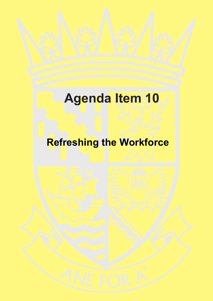# **Agenda Item 10**

# **Refreshing the Workforce**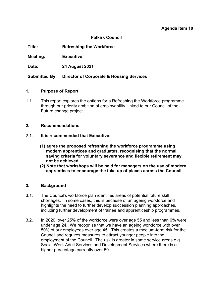#### **Agenda Item 10**

#### **Falkirk Council**

**Title: Refreshing the Workforce**

**Meeting: Executive** 

**Date: 24 August 2021**

**Submitted By: Director of Corporate & Housing Services**

#### **1. Purpose of Report**

1.1. This report explores the options for a Refreshing the Workforce programme through our priority ambition of employability, linked to our Council of the Future change project.

#### **2. Recommendations**

- 2.1. **It is recommended that Executive:** 
	- **(1) agree the proposed refreshing the workforce programme using modern apprentices and graduates, recognising that the normal saving criteria for voluntary severance and flexible retirement may not be achieved**
	- **(2) Note that workshops will be held for managers on the use of modern apprentices to encourage the take up of places across the Council**

#### **3. Background**

- 3.1. The Council's workforce plan identifies areas of potential future skill shortages. In some cases, this is because of an ageing workforce and highlights the need to further develop succession planning approaches. including further development of trainee and apprenticeship programmes.
- 3.2. In 2020, over 25% of the workforce were over age 55 and less than 6% were under age 24. We recognise that we have an ageing workforce with over 50% of our employees over age 45. This creates a medium-term risk for the Council and requires measures to attract younger people into the employment of the Council. The risk is greater in some service areas e.g. Social Work Adult Services and Development Services where there is a higher percentage currently over 50.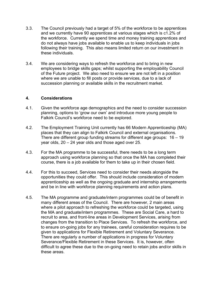- 3.3. The Council previously had a target of 5% of the workforce to be apprentices and we currently have 90 apprentices at various stages which is c1.2% of the workforce. Currently we spend time and money training apprentices and do not always have jobs available to enable us to keep individuals in jobs following their training. This also means limited return on our investment in these individuals.
- 3.4. We are considering ways to refresh the workforce and to bring in new employees to bridge skills gaps; whilst supporting the employability Council of the Future project. We also need to ensure we are not left in a position where we are unable to fill posts or provide services, due to a lack of succession planning or available skills in the recruitment market.

#### **4. Considerations**

- 4.1. Given the workforce age demographics and the need to consider succession planning, options to 'grow our own' and introduce more young people to Falkirk Council's workforce need to be explored.
- 4.2. The Employment Training Unit currently has 66 Modern Apprenticeship (MA) places that they can align to Falkirk Council and external organisations. There are different group funding streams for different age groups: 16 – 19 year olds, 20 – 24 year olds and those aged over 25.
- 4.3. For the MA programme to be successful, there needs to be a long term approach using workforce planning so that once the MA has completed their course, there is a job available for them to take up in their chosen field.
- 4.4. For this to succeed, Services need to consider their needs alongside the opportunities they could offer. This should include consideration of modern apprenticeship as well as the ongoing graduate and internship arrangements and be in line with workforce planning requirements and action plans.
- 4.5. The MA programme and graduate/intern programmes could be of benefit in many different areas of the Council. There are however, 2 main areas where a pilot approach to refreshing the workforce could be targeted, using the MA and graduate/intern programmes. These are Social Care, a hard to recruit to area, and front-line areas in Development Services, arising from changes from the transition to Place Services. To refresh the workforce, and to ensure on-going jobs for any trainees, careful consideration requires to be given to applications for Flexible Retirement and Voluntary Severance. There are regularly a number of applications in progress for Voluntary Severance/Flexible Retirement in these Services. It is, however, often difficult to agree these due to the on-going need to retain jobs and/or skills in these areas.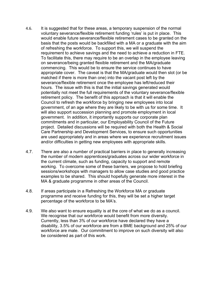- 4.6. It is suggested that for these areas, a temporary suspension of the normal voluntary severance/flexible retirement funding 'rules' is put in place. This would enable future severance/flexible retirement cases to be granted on the basis that the posts would be backfilled with a MA or a graduate with the aim of refreshing the workforce. To support this, we will suspend the requirement to achieve savings and the need to achieve a reduction in FTE. To facilitate this, there may require to be an overlap in the employee leaving on severance/being granted flexible retirement and the MA/graduate commencing. This would be to ensure the service continues to have appropriate cover. The caveat is that the MA/graduate would then slot (or be matched if there is more than one) into the vacant post left by the severance/flexible retirement once the employee has left/reduced their hours. The issue with this is that the initial savings generated would potentially not meet the full requirements of the voluntary severance/flexible retirement policy. The benefit of this approach is that it will enable the Council to refresh the workforce by bringing new employees into local government, of an age where they are likely to be with us for some time. It will also support succession planning and promote employment in local government. In addition, it importantly supports our corporate plan commitments and in particular, our Employability Council of the Future project. Detailed discussions will be required with both the Health & Social Care Partnership and Development Services, to ensure such opportunities are used appropriately and in areas where we experience recruitment issues and/or difficulties in getting new employees with appropriate skills.
- 4.7. There are also a number of practical barriers in place to generally increasing the number of modern apprentices/graduates across our wider workforce in the current climate, such as funding, capacity to support and remote working. To overcome some of these barriers, we propose to hold briefing sessions/workshops with managers to allow case studies and good practice examples to be shared. This should hopefully generate more interest in the MA & graduate programme in other areas of the Council.
- 4.8. If areas participate in a Refreshing the Workforce MA or graduate programme and receive funding for this, they will be set a higher target percentage of the workforce to be MA's.
- 4.9. We also want to ensure equality is at the core of what we do as a council. We recognise that our workforce would benefit from more diversity. Currently, less than 3% of our workforce have declared they have a disability, 3.5% of our workforce are from a BME background and 25% of our workforce are male. Our commitment to improve on such diversity will also be considered as part of this work.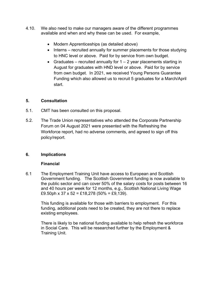- 4.10. We also need to make our managers aware of the different programmes available and when and why these can be used. For example,
	- Modern Apprenticeships (as detailed above)
	- Interns recruited annually for summer placements for those studying to HNC level or above. Paid for by service from own budget.
	- Graduates recruited annually for  $1 2$  year placements starting in August for graduates with HND level or above. Paid for by service from own budget. In 2021, we received Young Persons Guarantee Funding which also allowed us to recruit 5 graduates for a March/April start.

# **5. Consultation**

- 5.1. CMT has been consulted on this proposal.
- 5.2. The Trade Union representatives who attended the Corporate Partnership Forum on 04 August 2021 were presented with the Refreshing the Workforce report, had no adverse comments, and agreed to sign off this policy/report.

#### **6. Implications**

#### **Financial**

6.1 The Employment Training Unit have access to European and Scottish Government funding. The Scottish Government funding is now available to the public sector and can cover 50% of the salary costs for posts between 16 and 40 hours per week for 12 months, e.g., Scottish National Living Wage £9.50ph x 37 x 52 = £18,278 (50% = £9,139).

This funding is available for those with barriers to employment. For this funding, additional posts need to be created, they are not there to replace existing employees.

There is likely to be national funding available to help refresh the workforce in Social Care. This will be researched further by the Employment & Training Unit.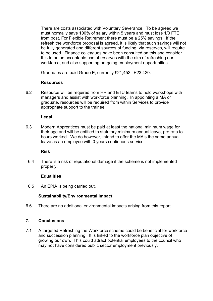There are costs associated with Voluntary Severance. To be agreed we must normally save 100% of salary within 5 years and must lose 1/3 FTE from post. For Flexible Retirement there must be a 25% savings. If the refresh the workforce proposal is agreed, it is likely that such savings will not be fully generated and different sources of funding, via reserves, will require to be used. Finance colleagues have been consulted on this and consider this to be an acceptable use of reserves with the aim of refreshing our workforce, and also supporting on-going employment opportunities.

Graduates are paid Grade E, currently £21,452 - £23,420.

#### **Resources**

6.2 Resource will be required from HR and ETU teams to hold workshops with managers and assist with workforce planning. In appointing a MA or graduate, resources will be required from within Services to provide appropriate support to the trainee.

#### **Legal**

6.3 Modern Apprentices must be paid at least the national minimum wage for their age and will be entitled to statutory minimum annual leave, pro rata to hours worked. We do however, intend to offer the MA's the same annual leave as an employee with 0 years continuous service.

#### **Risk**

6.4 There is a risk of reputational damage if the scheme is not implemented properly.

# **Equalities**

6.5 An EPIA is being carried out.

# **Sustainability/Environmental Impact**

6.6 There are no additional environmental impacts arising from this report.

# **7. Conclusions**

7.1 A targeted Refreshing the Workforce scheme could be beneficial for workforce and succession planning. It is linked to the workforce plan objective of growing our own. This could attract potential employees to the council who may not have considered public sector employment previously.